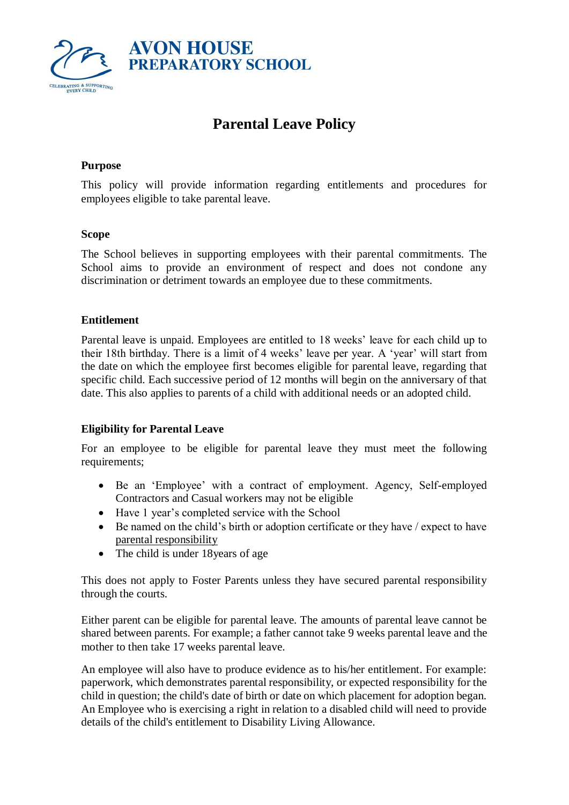

# **Parental Leave Policy**

## **Purpose**

This policy will provide information regarding entitlements and procedures for employees eligible to take parental leave.

## **Scope**

The School believes in supporting employees with their parental commitments. The School aims to provide an environment of respect and does not condone any discrimination or detriment towards an employee due to these commitments.

## **Entitlement**

Parental leave is unpaid. Employees are entitled to 18 weeks' leave for each child up to their 18th birthday. There is a limit of 4 weeks' leave per year. A 'year' will start from the date on which the employee first becomes eligible for parental leave, regarding that specific child. Each successive period of 12 months will begin on the anniversary of that date. This also applies to parents of a child with additional needs or an adopted child.

## **Eligibility for Parental Leave**

For an employee to be eligible for parental leave they must meet the following requirements;

- Be an 'Employee' with a contract of employment. Agency, Self-employed Contractors and Casual workers may not be eligible
- Have 1 year's completed service with the School
- Be named on the child's birth or adoption certificate or they have / expect to have [parental responsibility](https://www.gov.uk/parental-rights-responsibilities/what-is-parental-responsibility)
- The child is under 18 years of age

This does not apply to Foster Parents unless they have secured parental responsibility through the courts.

Either parent can be eligible for parental leave. The amounts of parental leave cannot be shared between parents. For example; a father cannot take 9 weeks parental leave and the mother to then take 17 weeks parental leave.

An employee will also have to produce evidence as to his/her entitlement. For example: paperwork, which demonstrates parental responsibility, or expected responsibility for the child in question; the child's date of birth or date on which placement for adoption began. An Employee who is exercising a right in relation to a disabled child will need to provide details of the child's entitlement to Disability Living Allowance.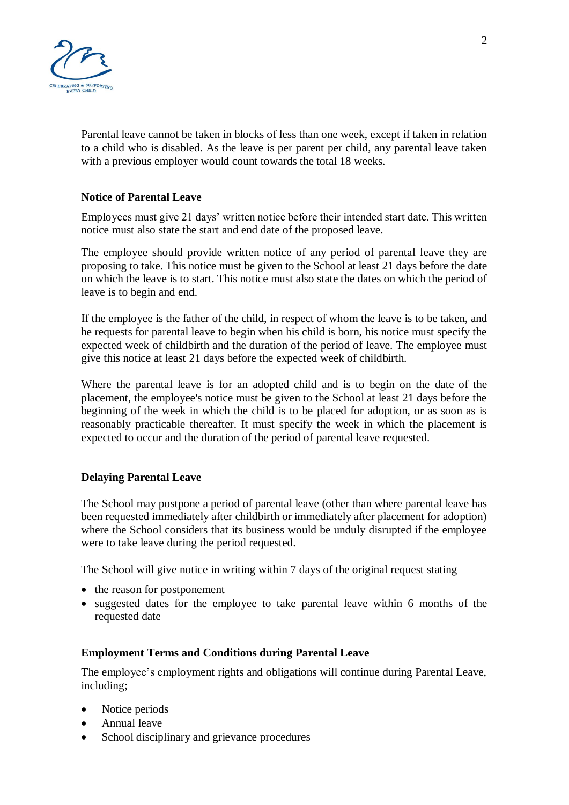

Parental leave cannot be taken in blocks of less than one week, except if taken in relation to a child who is disabled. As the leave is per parent per child, any parental leave taken with a previous employer would count towards the total 18 weeks.

## **Notice of Parental Leave**

Employees must give 21 days' written notice before their intended start date. This written notice must also state the start and end date of the proposed leave.

The employee should provide written notice of any period of parental leave they are proposing to take. This notice must be given to the School at least 21 days before the date on which the leave is to start. This notice must also state the dates on which the period of leave is to begin and end.

If the employee is the father of the child, in respect of whom the leave is to be taken, and he requests for parental leave to begin when his child is born, his notice must specify the expected week of childbirth and the duration of the period of leave. The employee must give this notice at least 21 days before the expected week of childbirth.

Where the parental leave is for an adopted child and is to begin on the date of the placement, the employee's notice must be given to the School at least 21 days before the beginning of the week in which the child is to be placed for adoption, or as soon as is reasonably practicable thereafter. It must specify the week in which the placement is expected to occur and the duration of the period of parental leave requested.

## **Delaying Parental Leave**

The School may postpone a period of parental leave (other than where parental leave has been requested immediately after childbirth or immediately after placement for adoption) where the School considers that its business would be unduly disrupted if the employee were to take leave during the period requested.

The School will give notice in writing within 7 days of the original request stating

- the reason for postponement
- suggested dates for the employee to take parental leave within 6 months of the requested date

## **Employment Terms and Conditions during Parental Leave**

The employee's employment rights and obligations will continue during Parental Leave, including;

- Notice periods
- Annual leave
- School disciplinary and grievance procedures